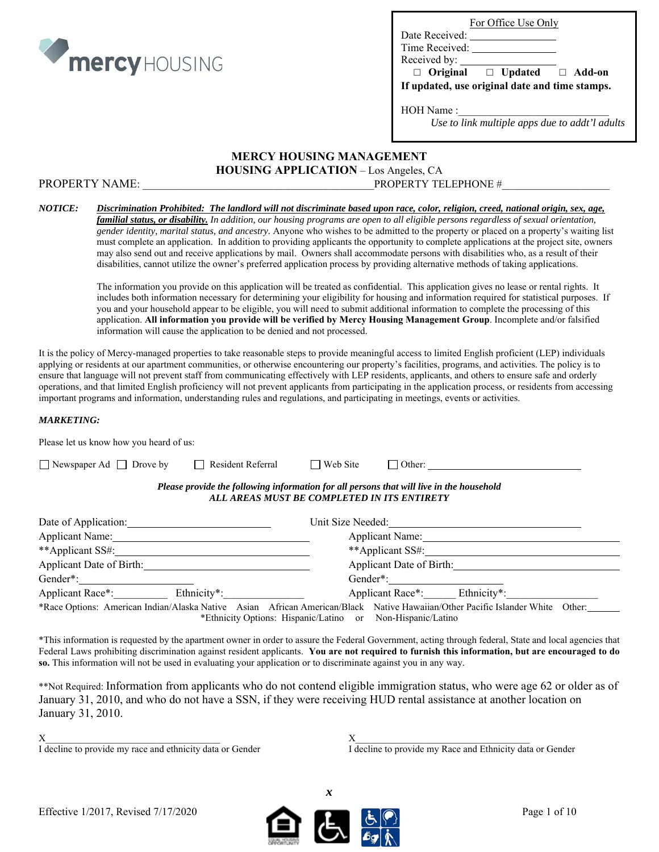

|  | For Office Use Only |  |
|--|---------------------|--|
|  |                     |  |

Date Received: Time Received:

| Received by: |  |
|--------------|--|
|              |  |

 **□ Original □ Updated □ Add-on** 

**If updated, use original date and time stamps.** 

HOH Name :

*Use to link multiple apps due to addt'l adults* 

## **MERCY HOUSING MANAGEMENT**

**HOUSING APPLICATION** – Los Angeles, CA

PROPERTY NAME:  $PROPERTIES$   $PROPERTIES$   $PROPERTIES$   $PROPERTIES$   $PROPERTIES$   $PROPROPERTY TELEPHONE  $#$ </mark>$ 

## *NOTICE: Discrimination Prohibited: The landlord will not discriminate based upon race, color, religion, creed, national origin, sex, age,*

*familial status, or disability. In addition, our housing programs are open to all eligible persons regardless of sexual orientation, gender identity, marital status, and ancestry.* Anyone who wishes to be admitted to the property or placed on a property's waiting list must complete an application. In addition to providing applicants the opportunity to complete applications at the project site, owners may also send out and receive applications by mail. Owners shall accommodate persons with disabilities who, as a result of their disabilities, cannot utilize the owner's preferred application process by providing alternative methods of taking applications.

The information you provide on this application will be treated as confidential. This application gives no lease or rental rights. It includes both information necessary for determining your eligibility for housing and information required for statistical purposes. If you and your household appear to be eligible, you will need to submit additional information to complete the processing of this application. **All information you provide will be verified by Mercy Housing Management Group**. Incomplete and/or falsified information will cause the application to be denied and not processed.

It is the policy of Mercy-managed properties to take reasonable steps to provide meaningful access to limited English proficient (LEP) individuals applying or residents at our apartment communities, or otherwise encountering our property's facilities, programs, and activities. The policy is to ensure that language will not prevent staff from communicating effectively with LEP residents, applicants, and others to ensure safe and orderly operations, and that limited English proficiency will not prevent applicants from participating in the application process, or residents from accessing important programs and information, understanding rules and regulations, and participating in meetings, events or activities.

## *MARKETING:*

| Please let us know how you heard of us:                                                                                                                                                                                       |                                             |                 |                                                                                          |  |
|-------------------------------------------------------------------------------------------------------------------------------------------------------------------------------------------------------------------------------|---------------------------------------------|-----------------|------------------------------------------------------------------------------------------|--|
| $\Box$ Newspaper Ad $\Box$ Drove by                                                                                                                                                                                           | $\Box$ Resident Referral                    | $\Box$ Web Site |                                                                                          |  |
|                                                                                                                                                                                                                               | ALL AREAS MUST BE COMPLETED IN ITS ENTIRETY |                 | Please provide the following information for all persons that will live in the household |  |
| Date of Application:                                                                                                                                                                                                          |                                             |                 | Unit Size Needed:                                                                        |  |
| Applicant Name: Name and Applicant Name and Applicant Name and Applicant Name and Applicant Applicant Applicant Applicant Applicant Applicant Applicant Applicant Applicant Applicant Applicant Applicant Applicant Applicant |                                             |                 | Applicant Name:                                                                          |  |
| **Applicant SS#:                                                                                                                                                                                                              |                                             |                 | **Applicant SS#:                                                                         |  |
| Applicant Date of Birth:                                                                                                                                                                                                      |                                             |                 | Applicant Date of Birth:                                                                 |  |
| Gender*:                                                                                                                                                                                                                      |                                             |                 | Gender*:                                                                                 |  |

Applicant Race\*: Ethnicity\*: Ethnicity\*: Applicant Race\*: Ethnicity\*: \*Race Options: American Indian/Alaska Native Asian African American/Black Native Hawaiian/Other Pacific Islander White Other: \*Ethnicity Options: Hispanic/Latino or Non-Hispanic/Latino

\*This information is requested by the apartment owner in order to assure the Federal Government, acting through federal, State and local agencies that Federal Laws prohibiting discrimination against resident applicants. **You are not required to furnish this information, but are encouraged to do so.** This information will not be used in evaluating your application or to discriminate against you in any way.

\*\*Not Required: Information from applicants who do not contend eligible immigration status, who were age 62 or older as of January 31, 2010, and who do not have a SSN, if they were receiving HUD rental assistance at another location on January 31, 2010.

 $X$  and  $X$  and  $X$  and  $X$  and  $X$  and  $X$  and  $X$  and  $X$  and  $X$  and  $X$  and  $X$  and  $X$  and  $X$  and  $X$  and  $X$  and  $X$  and  $X$  and  $X$  and  $X$  and  $X$  and  $X$  and  $X$  and  $X$  and  $X$  and  $X$  and  $X$  and  $X$  and  $X$  a

I decline to provide my race and ethnicity data or Gender I decline to provide my Race and Ethnicity data or Gender



*x*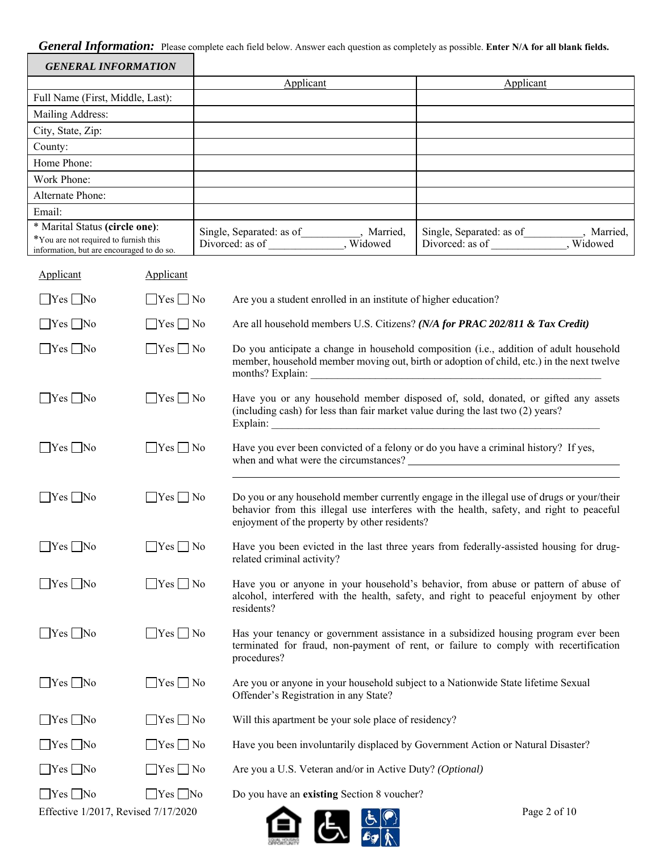*General Information:* Please complete each field below. Answer each question as completely as possible. **Enter N/A for all blank fields.**

| <b>GENERAL INFORMATION</b>                   |                      |                                                                                     |                                                                                                                                                                                       |  |  |
|----------------------------------------------|----------------------|-------------------------------------------------------------------------------------|---------------------------------------------------------------------------------------------------------------------------------------------------------------------------------------|--|--|
|                                              |                      | Applicant                                                                           | Applicant                                                                                                                                                                             |  |  |
| Full Name (First, Middle, Last):             |                      |                                                                                     |                                                                                                                                                                                       |  |  |
| Mailing Address:<br>City, State, Zip:        |                      |                                                                                     |                                                                                                                                                                                       |  |  |
|                                              |                      |                                                                                     |                                                                                                                                                                                       |  |  |
| County:<br>Home Phone:                       |                      |                                                                                     |                                                                                                                                                                                       |  |  |
| Work Phone:                                  |                      |                                                                                     |                                                                                                                                                                                       |  |  |
| Alternate Phone:                             |                      |                                                                                     |                                                                                                                                                                                       |  |  |
| Email:                                       |                      |                                                                                     |                                                                                                                                                                                       |  |  |
| * Marital Status (circle one):               |                      |                                                                                     |                                                                                                                                                                                       |  |  |
| *You are not required to furnish this        |                      | Single, Separated: as of_________, Married,<br>Divorced: as of ___________, Widowed | Single, Separated: as of_________, Married,<br>Divorced: as of __________, Widowed                                                                                                    |  |  |
| information, but are encouraged to do so.    |                      |                                                                                     |                                                                                                                                                                                       |  |  |
| Applicant                                    | Applicant            |                                                                                     |                                                                                                                                                                                       |  |  |
| $\Box$ Yes $\Box$ No                         | $\Box$ Yes $\Box$ No | Are you a student enrolled in an institute of higher education?                     |                                                                                                                                                                                       |  |  |
| $\Box$ Yes $\Box$ No                         | $\Box$ Yes $\Box$ No |                                                                                     | Are all household members U.S. Citizens? (N/A for PRAC 202/811 & Tax Credit)                                                                                                          |  |  |
| $\Box$ Yes $\Box$ No                         | $\Box$ Yes $\Box$ No |                                                                                     | Do you anticipate a change in household composition (i.e., addition of adult household<br>member, household member moving out, birth or adoption of child, etc.) in the next twelve   |  |  |
| $\Box$ Yes $\Box$ No                         | $\Box$ Yes $\Box$ No | (including cash) for less than fair market value during the last two (2) years?     | Have you or any household member disposed of, sold, donated, or gifted any assets<br>Explain:                                                                                         |  |  |
| $\Box$ Yes $\Box$ No                         | $\Box$ Yes $\Box$ No |                                                                                     | Have you ever been convicted of a felony or do you have a criminal history? If yes,                                                                                                   |  |  |
| $\Box$ Yes $\Box$ No                         | $\Box$ Yes $\Box$ No | enjoyment of the property by other residents?                                       | Do you or any household member currently engage in the illegal use of drugs or your/their<br>behavior from this illegal use interferes with the health, safety, and right to peaceful |  |  |
| $\Box$ Yes $\Box$ No                         | $\Box$ Yes $\Box$ No | related criminal activity?                                                          | Have you been evicted in the last three years from federally-assisted housing for drug-                                                                                               |  |  |
| $\Box$ Yes $\Box$ No                         | $\Box$ Yes $\Box$ No | residents?                                                                          | Have you or anyone in your household's behavior, from abuse or pattern of abuse of<br>alcohol, interfered with the health, safety, and right to peaceful enjoyment by other           |  |  |
| $\Box$ Yes $\Box$ No                         | $\Box$ Yes $\Box$ No | procedures?                                                                         | Has your tenancy or government assistance in a subsidized housing program ever been<br>terminated for fraud, non-payment of rent, or failure to comply with recertification           |  |  |
| $\Box$ Yes $\Box$ No<br>$\Box$ Yes $\Box$ No |                      | Offender's Registration in any State?                                               | Are you or anyone in your household subject to a Nationwide State lifetime Sexual                                                                                                     |  |  |
| $\Box$ Yes $\Box$ No                         | $\Box$ Yes $\Box$ No | Will this apartment be your sole place of residency?                                |                                                                                                                                                                                       |  |  |
| $\Box$ Yes $\Box$ No                         | $\Box$ Yes $\Box$ No |                                                                                     | Have you been involuntarily displaced by Government Action or Natural Disaster?                                                                                                       |  |  |
| $\Box$ Yes $\Box$ No                         | $\Box$ Yes $\Box$ No |                                                                                     | Are you a U.S. Veteran and/or in Active Duty? (Optional)                                                                                                                              |  |  |

Yes No Yes No Do you have an **existing** Section 8 voucher?

Effective 1/2017, Revised  $7/17/2020$  Page 2 of 10

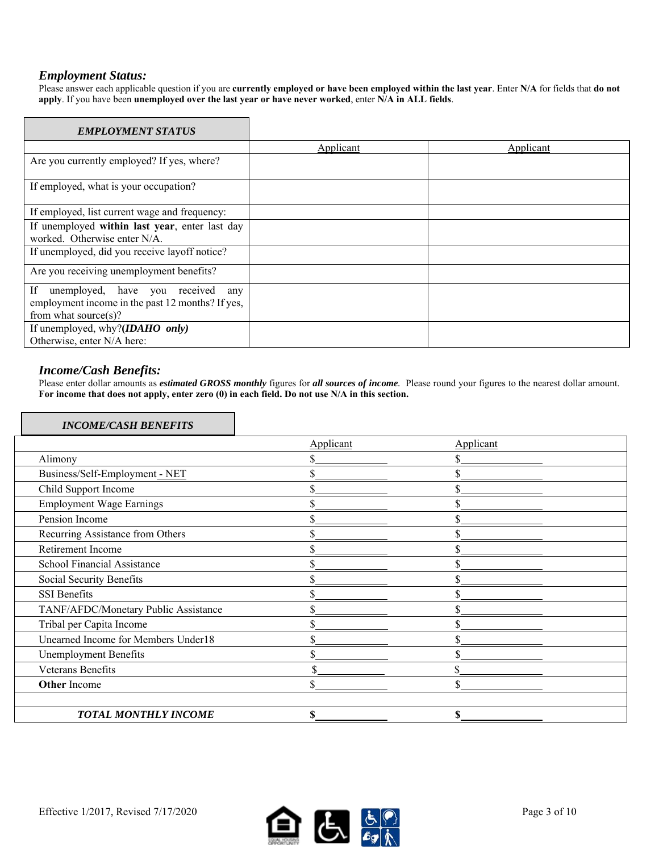## *Employment Status:*

Please answer each applicable question if you are **currently employed or have been employed within the last year**. Enter **N/A** for fields that **do not apply**. If you have been **unemployed over the last year or have never worked**, enter **N/A in ALL fields**.

| <b>EMPLOYMENT STATUS</b>                                                                                                   |           |           |
|----------------------------------------------------------------------------------------------------------------------------|-----------|-----------|
|                                                                                                                            | Applicant | Applicant |
| Are you currently employed? If yes, where?                                                                                 |           |           |
| If employed, what is your occupation?                                                                                      |           |           |
| If employed, list current wage and frequency:                                                                              |           |           |
| If unemployed within last year, enter last day<br>worked. Otherwise enter N/A.                                             |           |           |
| If unemployed, did you receive layoff notice?                                                                              |           |           |
| Are you receiving unemployment benefits?                                                                                   |           |           |
| If<br>unemployed, have you received<br>any<br>employment income in the past 12 months? If yes,<br>from what source $(s)$ ? |           |           |
| If unemployed, why?( <i>IDAHO only</i> )<br>Otherwise, enter N/A here:                                                     |           |           |

## *Income/Cash Benefits:*

Please enter dollar amounts as *estimated GROSS monthly* figures for *all sources of income.* Please round your figures to the nearest dollar amount. **For income that does not apply, enter zero (0) in each field. Do not use N/A in this section.** 

## *INCOME/CASH BENEFITS*

|                                      | Applicant | Applicant |  |
|--------------------------------------|-----------|-----------|--|
| Alimony                              |           |           |  |
| Business/Self-Employment - NET       |           |           |  |
| Child Support Income                 |           |           |  |
| <b>Employment Wage Earnings</b>      |           |           |  |
| Pension Income                       |           |           |  |
| Recurring Assistance from Others     |           |           |  |
| Retirement Income                    | ъ.        |           |  |
| School Financial Assistance          |           |           |  |
| Social Security Benefits             |           |           |  |
| SSI Benefits                         | ה         |           |  |
| TANF/AFDC/Monetary Public Assistance | ה.        |           |  |
| Tribal per Capita Income             |           |           |  |
| Unearned Income for Members Under18  |           |           |  |
| <b>Unemployment Benefits</b>         |           |           |  |
| Veterans Benefits                    |           |           |  |
| <b>Other Income</b>                  | ъ         |           |  |
|                                      |           |           |  |
| <b>TOTAL MONTHLY INCOME</b>          |           |           |  |

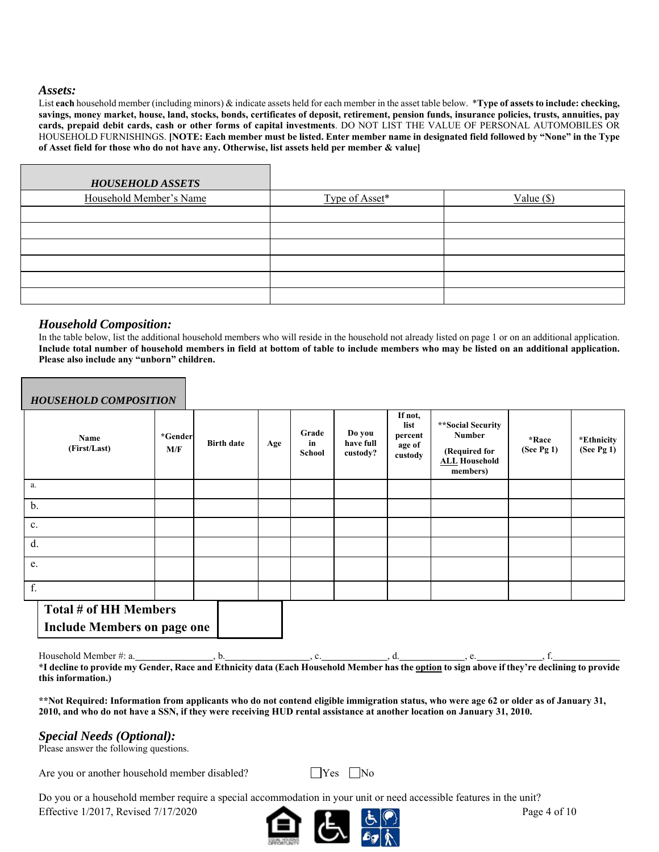## *Assets:*

List **each** household member (including minors) & indicate assets held for each member in the asset table below. \***Type of assets to include: checking, savings, money market, house, land, stocks, bonds, certificates of deposit, retirement, pension funds, insurance policies, trusts, annuities, pay cards, prepaid debit cards, cash or other forms of capital investments**. DO NOT LIST THE VALUE OF PERSONAL AUTOMOBILES OR HOUSEHOLD FURNISHINGS. **[NOTE: Each member must be listed. Enter member name in designated field followed by "None" in the Type of Asset field for those who do not have any. Otherwise, list assets held per member & value]** 

| <b>HOUSEHOLD ASSETS</b> |                |              |
|-------------------------|----------------|--------------|
| Household Member's Name | Type of Asset* | Value $(\$)$ |
|                         |                |              |
|                         |                |              |
|                         |                |              |
|                         |                |              |
|                         |                |              |
|                         |                |              |

## *Household Composition:*

In the table below, list the additional household members who will reside in the household not already listed on page 1 or on an additional application. **Include total number of household members in field at bottom of table to include members who may be listed on an additional application. Please also include any "unborn" children.** 

| <b>HOUSEHOLD COMPOSITION</b>                                |                |                   |     |                       |                                 |                                                 |                                                                                         |                    |                          |
|-------------------------------------------------------------|----------------|-------------------|-----|-----------------------|---------------------------------|-------------------------------------------------|-----------------------------------------------------------------------------------------|--------------------|--------------------------|
| Name<br>(First/Last)                                        | *Gender<br>M/F | <b>Birth date</b> | Age | Grade<br>in<br>School | Do you<br>have full<br>custody? | If not,<br>list<br>percent<br>age of<br>custody | **Social Security<br><b>Number</b><br>(Required for<br><b>ALL</b> Household<br>members) | *Race<br>(See Pg1) | *Ethnicity<br>(See Pg 1) |
| a.                                                          |                |                   |     |                       |                                 |                                                 |                                                                                         |                    |                          |
| b.                                                          |                |                   |     |                       |                                 |                                                 |                                                                                         |                    |                          |
| c.                                                          |                |                   |     |                       |                                 |                                                 |                                                                                         |                    |                          |
| d.                                                          |                |                   |     |                       |                                 |                                                 |                                                                                         |                    |                          |
| e.                                                          |                |                   |     |                       |                                 |                                                 |                                                                                         |                    |                          |
| f.                                                          |                |                   |     |                       |                                 |                                                 |                                                                                         |                    |                          |
| Total # of HH Members<br><b>Include Members on page one</b> |                |                   |     |                       |                                 |                                                 |                                                                                         |                    |                          |

Household Member #: a. , b. , c. , d. , e. , f. **\*I decline to provide my Gender, Race and Ethnicity data (Each Household Member has the option to sign above if they're declining to provide this information.)** 

**\*\*Not Required: Information from applicants who do not contend eligible immigration status, who were age 62 or older as of January 31, 2010, and who do not have a SSN, if they were receiving HUD rental assistance at another location on January 31, 2010.**

## *Special Needs (Optional):*

Please answer the following questions.

Are you or another household member disabled?  $\Box$  Yes  $\Box$  No

Effective 1/2017, Revised  $7/17/2020$  Page 4 of 10 Do you or a household member require a special accommodation in your unit or need accessible features in the unit?

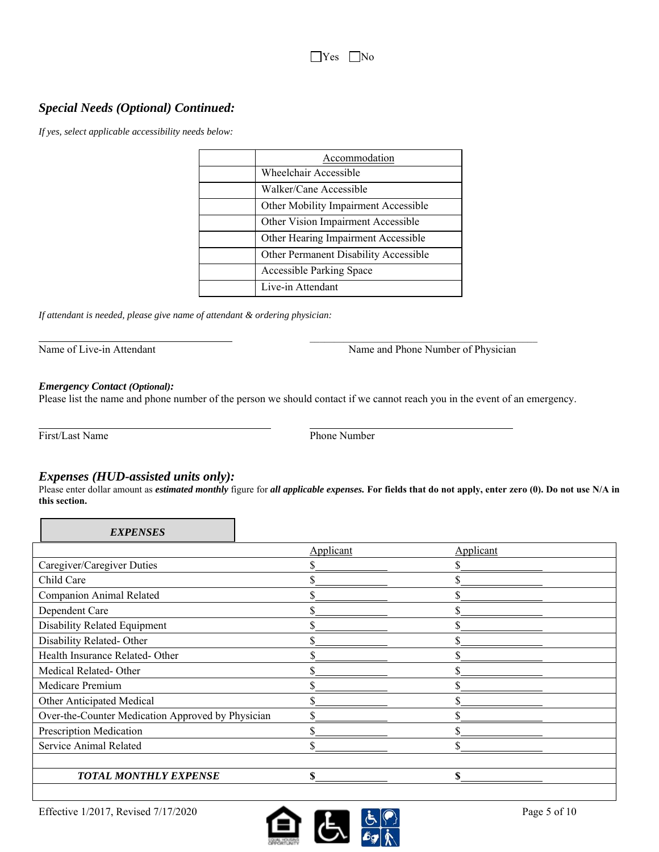## *Special Needs (Optional) Continued:*

*If yes, select applicable accessibility needs below:* 

| Accommodation                         |
|---------------------------------------|
| Wheelchair Accessible                 |
| Walker/Cane Accessible                |
| Other Mobility Impairment Accessible  |
| Other Vision Impairment Accessible    |
| Other Hearing Impairment Accessible   |
| Other Permanent Disability Accessible |
| <b>Accessible Parking Space</b>       |
| Live-in Attendant                     |

*If attendant is needed, please give name of attendant & ordering physician:* 

Name and Phone Number of Physician

## *Emergency Contact (Optional):*

Please list the name and phone number of the person we should contact if we cannot reach you in the event of an emergency.

 $\mathcal{L}_\text{max}$  , and the contract of the contract of the contract of the contract of the contract of the contract of the contract of the contract of the contract of the contract of the contract of the contract of the contr

First/Last Name Phone Number

 $\overline{a}$ 

## *Expenses (HUD-assisted units only):*

Please enter dollar amount as *estimated monthly* figure for *all applicable expenses.* **For fields that do not apply, enter zero (0). Do not use N/A in this section.** 

| <b>EXPENSES</b>                                   |                  |           |  |
|---------------------------------------------------|------------------|-----------|--|
|                                                   | <b>Applicant</b> | Applicant |  |
| Caregiver/Caregiver Duties                        |                  |           |  |
| Child Care                                        |                  |           |  |
| Companion Animal Related                          |                  |           |  |
| Dependent Care                                    |                  |           |  |
| Disability Related Equipment                      |                  |           |  |
| Disability Related-Other                          |                  |           |  |
| Health Insurance Related- Other                   |                  |           |  |
| Medical Related-Other                             |                  |           |  |
| Medicare Premium                                  |                  |           |  |
| Other Anticipated Medical                         |                  |           |  |
| Over-the-Counter Medication Approved by Physician |                  |           |  |
| Prescription Medication                           |                  |           |  |
| Service Animal Related                            |                  | ሖ         |  |
|                                                   |                  |           |  |
| <b>TOTAL MONTHLY EXPENSE</b>                      | ፍ                | \$        |  |

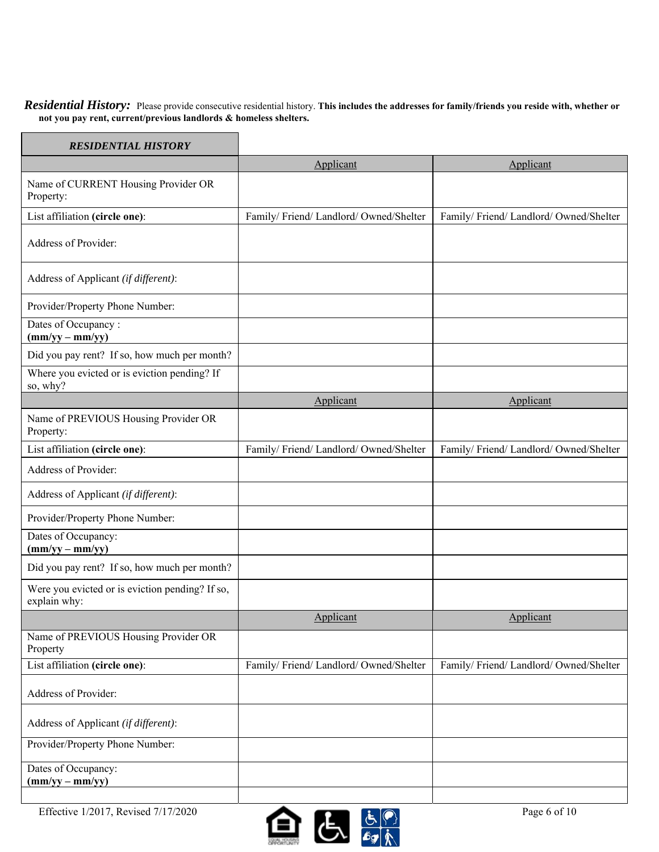*Residential History:* Please provide consecutive residential history. **This includes the addresses for family/friends you reside with, whether or not you pay rent, current/previous landlords & homeless shelters.** 

| <b>RESIDENTIAL HISTORY</b>                                      |                                      |                                      |
|-----------------------------------------------------------------|--------------------------------------|--------------------------------------|
|                                                                 | Applicant                            | Applicant                            |
| Name of CURRENT Housing Provider OR<br>Property:                |                                      |                                      |
| List affiliation (circle one):                                  | Family/Friend/Landlord/Owned/Shelter | Family/Friend/Landlord/Owned/Shelter |
| Address of Provider:                                            |                                      |                                      |
| Address of Applicant (if different):                            |                                      |                                      |
| Provider/Property Phone Number:                                 |                                      |                                      |
| Dates of Occupancy:<br>$(mm/yy - mm/yy)$                        |                                      |                                      |
| Did you pay rent? If so, how much per month?                    |                                      |                                      |
| Where you evicted or is eviction pending? If<br>so, why?        |                                      |                                      |
|                                                                 | Applicant                            | Applicant                            |
| Name of PREVIOUS Housing Provider OR<br>Property:               |                                      |                                      |
| List affiliation (circle one):                                  | Family/Friend/Landlord/Owned/Shelter | Family/Friend/Landlord/Owned/Shelter |
| Address of Provider:                                            |                                      |                                      |
| Address of Applicant (if different):                            |                                      |                                      |
| Provider/Property Phone Number:                                 |                                      |                                      |
| Dates of Occupancy:<br>$(mm/yy - mm/yy)$                        |                                      |                                      |
| Did you pay rent? If so, how much per month?                    |                                      |                                      |
| Were you evicted or is eviction pending? If so,<br>explain why: |                                      |                                      |
|                                                                 | Applicant                            | Applicant                            |
| Name of PREVIOUS Housing Provider OR<br>Property                |                                      |                                      |
| List affiliation (circle one):                                  | Family/Friend/Landlord/Owned/Shelter | Family/Friend/Landlord/Owned/Shelter |
| Address of Provider:                                            |                                      |                                      |
| Address of Applicant (if different):                            |                                      |                                      |
| Provider/Property Phone Number:                                 |                                      |                                      |
| Dates of Occupancy:<br>$(mm/yy - mm/yy)$                        |                                      |                                      |

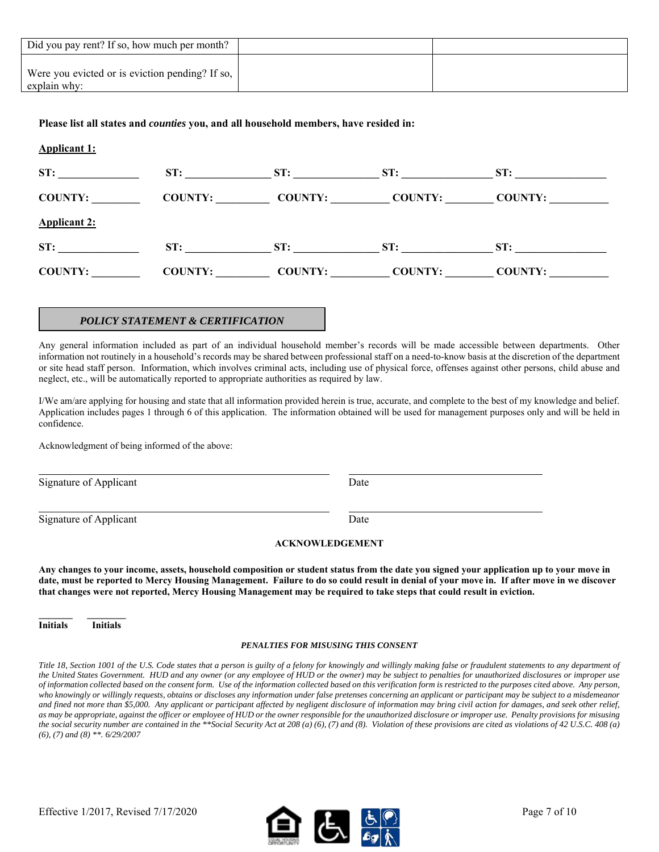| Did you pay rent? If so, how much per month?                    |  |
|-----------------------------------------------------------------|--|
| Were you evicted or is eviction pending? If so,<br>explain why: |  |

## **Please list all states and** *counties* **you, and all household members, have resided in:**

| <b>Applicant 1:</b> |                |                |                |                |  |
|---------------------|----------------|----------------|----------------|----------------|--|
| ST:                 | ST:            | ST:            | ST:            | ST:            |  |
| <b>COUNTY:</b>      | COUNTY:        | <b>COUNTY:</b> | <b>COUNTY:</b> | COUNTY:        |  |
| <b>Applicant 2:</b> |                |                |                |                |  |
| ST:                 | ST:            | ST:            | ST:            | ST:            |  |
| <b>COUNTY:</b>      | <b>COUNTY:</b> | <b>COUNTY:</b> | <b>COUNTY:</b> | <b>COUNTY:</b> |  |

## *POLICY STATEMENT & CERTIFICATION*

Any general information included as part of an individual household member's records will be made accessible between departments. Other information not routinely in a household's records may be shared between professional staff on a need-to-know basis at the discretion of the department or site head staff person. Information, which involves criminal acts, including use of physical force, offenses against other persons, child abuse and neglect, etc., will be automatically reported to appropriate authorities as required by law.

I/We am/are applying for housing and state that all information provided herein is true, accurate, and complete to the best of my knowledge and belief. Application includes pages 1 through 6 of this application. The information obtained will be used for management purposes only and will be held in confidence.

Acknowledgment of being informed of the above:

Signature of Applicant Date

l

l

Signature of Applicant Date

## **ACKNOWLEDGEMENT**

**Any changes to your income, assets, household composition or student status from the date you signed your application up to your move in date, must be reported to Mercy Housing Management. Failure to do so could result in denial of your move in. If after move in we discover that changes were not reported, Mercy Housing Management may be required to take steps that could result in eviction.** 

**Initials Initials** 

#### *PENALTIES FOR MISUSING THIS CONSENT*

*Title 18, Section 1001 of the U.S. Code states that a person is guilty of a felony for knowingly and willingly making false or fraudulent statements to any department of the United States Government. HUD and any owner (or any employee of HUD or the owner) may be subject to penalties for unauthorized disclosures or improper use of information collected based on the consent form. Use of the information collected based on this verification form is restricted to the purposes cited above. Any person, who knowingly or willingly requests, obtains or discloses any information under false pretenses concerning an applicant or participant may be subject to a misdemeanor and fined not more than \$5,000. Any applicant or participant affected by negligent disclosure of information may bring civil action for damages, and seek other relief, as may be appropriate, against the officer or employee of HUD or the owner responsible for the unauthorized disclosure or improper use. Penalty provisions for misusing the social security number are contained in the \*\*Social Security Act at 208 (a) (6), (7) and (8). Violation of these provisions are cited as violations of 42 U.S.C. 408 (a) (6), (7) and (8) \*\*. 6/29/2007* 

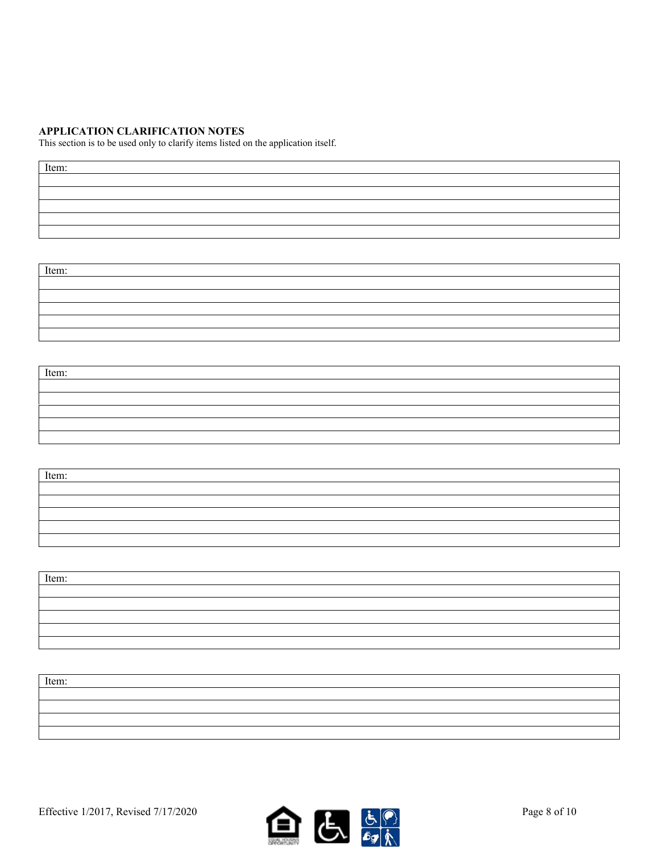## **APPLICATION CLARIFICATION NOTES**

This section is to be used only to clarify items listed on the application itself.

| Item: |  |  |
|-------|--|--|
|       |  |  |
|       |  |  |
|       |  |  |
|       |  |  |
|       |  |  |

Item:

| Item: |  |
|-------|--|
|       |  |
|       |  |
|       |  |
|       |  |
|       |  |

| Item: |  |
|-------|--|
|       |  |
|       |  |
|       |  |
|       |  |
|       |  |

| Item: |  |
|-------|--|
|       |  |
|       |  |
|       |  |
|       |  |
|       |  |

| Item: |  |
|-------|--|
|       |  |
|       |  |
|       |  |
|       |  |

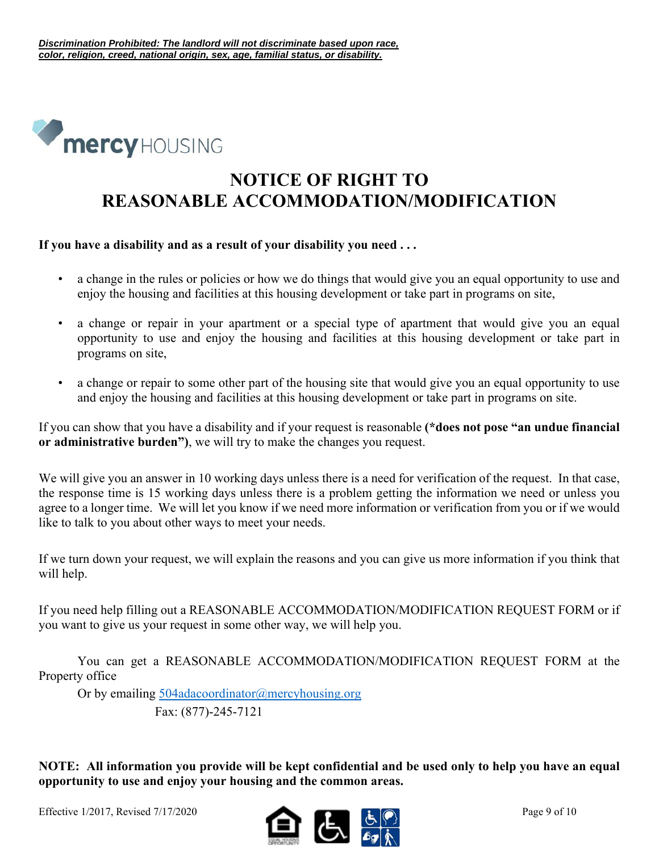

# **NOTICE OF RIGHT TO REASONABLE ACCOMMODATION/MODIFICATION**

## **If you have a disability and as a result of your disability you need . . .**

- a change in the rules or policies or how we do things that would give you an equal opportunity to use and enjoy the housing and facilities at this housing development or take part in programs on site,
- a change or repair in your apartment or a special type of apartment that would give you an equal opportunity to use and enjoy the housing and facilities at this housing development or take part in programs on site,
- a change or repair to some other part of the housing site that would give you an equal opportunity to use and enjoy the housing and facilities at this housing development or take part in programs on site.

If you can show that you have a disability and if your request is reasonable **(\*does not pose "an undue financial or administrative burden")**, we will try to make the changes you request.

We will give you an answer in 10 working days unless there is a need for verification of the request. In that case, the response time is 15 working days unless there is a problem getting the information we need or unless you agree to a longer time. We will let you know if we need more information or verification from you or if we would like to talk to you about other ways to meet your needs.

If we turn down your request, we will explain the reasons and you can give us more information if you think that will help.

If you need help filling out a REASONABLE ACCOMMODATION/MODIFICATION REQUEST FORM or if you want to give us your request in some other way, we will help you.

 You can get a REASONABLE ACCOMMODATION/MODIFICATION REQUEST FORM at the Property office

 Or by emailing 504adacoordinator@mercyhousing.org Fax: (877)-245-7121

**NOTE: All information you provide will be kept confidential and be used only to help you have an equal opportunity to use and enjoy your housing and the common areas.**